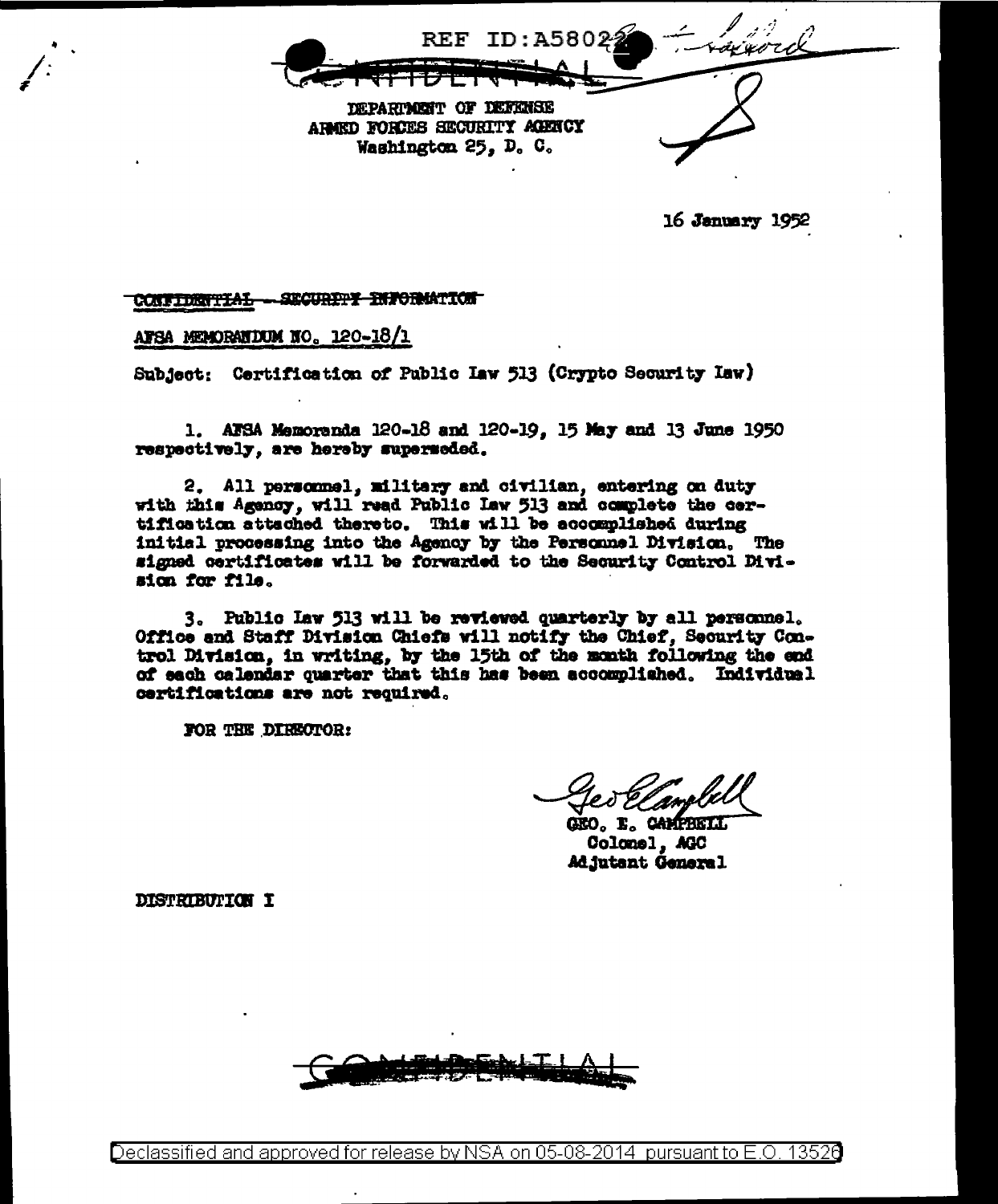

16 January 1952

CONFIDENTIAL - SECURETY ENFORMATION

AFSA MEMORATION NO. 120-18/1

Subject: Certification of Public Iaw 513 (Crypto Security Iaw)

1. AFSA Memoranda 120-18 and 120-19, 15 May and 13 June 1950 respectively, are hereby superseded.

2. All personnel, military and civilian, entering on duty with this Agency, will read Public Law 513 and complete the certification attached thereto. This will be accomplished during initial processing into the Agency by the Personnel Division. The signed certificates will be forwarded to the Security Control Division for file.

3. Public Law 513 will be reviewed quarterly by all personnel. Office and Staff Division Chiefs will notify the Chief, Security Control Division, in writing, by the 15th of the month following the end of each calendar quarter that this has been accomplished. Individual certifications are not required.

FOR THE DIRECTOR:

GEO, E. CAMPBELL Colonel, AGC Adjutant General

**DISTRIBUTION I** 



Declassified and approved for release by NSA on 05-08-2014 pursuant to E.O. 13520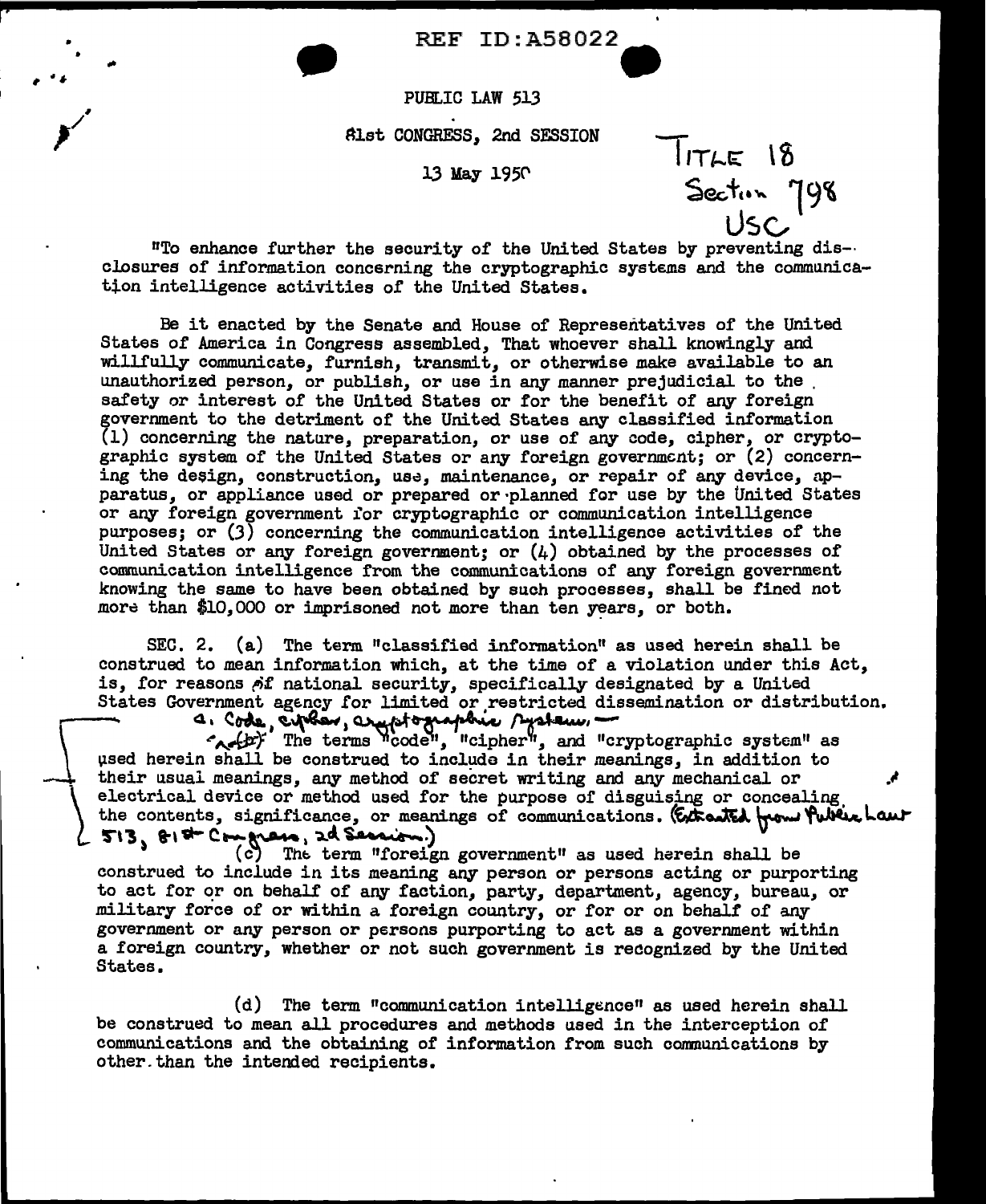REF ID:A58022

 $11TLE$   $18$ 

Sector 798

PUBLIC LAW 513

• •

 $\overline{\phantom{a}}$ 

Alst CONGRESS, 2nd SESSION

13 May 1950

USC "To enhance further the security of the United States by preventing dis-· closures of information concerning the cryptographic systems and the communication intelligence activities of the United States.

Be it enacted by the Senate and House of Representatives of the United States of America in Congress assembled, That whoever shall knowingly and willfully communicate, furnish, transmit, or otherwise make available to an unauthorized person, or publish, or use in any manner prejudicial to the safety or interest of the United States or for the benefit of any foreign government to the detriment of the United States any classified information  $(1)$  concerning the nature, preparation, or use of any code, cipher, or cryptographic system of the United States or any foreign government; or (2) concerning the design, construction, use, maintenance, or repair of any device, apparatus, or appliance used or prepared or·planned for use by the United States or any foreign government for cryptographic or communication intelligence purposes; or (3) concerning the communication intelligence activities of the United States or any foreign government; or  $(h)$  obtained by the processes of communication intelligence from the communications of any foreign government knowing the same to have been obtained by such processes, shall be fined not more than \$10,000 or imprisoned not more than ten  $years$ , or both.

SEC. 2. (a) The term "classified information" as used herein shall be construed to mean information which, at the time of a violation under this Act, is, for reasons of national security, specifically designated by a United States Government agency for limited or restricted dissemination or distribution. is, for reasons of national security, specifically designated by a United<br>States Government agency for limited or restricted dissemination or distributed<br>a. Code, current code "protected dissemination or distributed".<br>The

used herein shall be construed to include in their meanings, in addition to their usual meanings, any method of secret writing and any mechanical or }\_ electrical device or method used for the purpose of disguising or concealing, the contents, significance, or meanings of communications. (Extracted from Public Laur  $513, 818 - C$ mpress, 2d Session.)

(c) The term "foreign government" as used herein shall be construed to include in its meaning any person or persons acting or purporting to act for or on behalf of any faction, party, department, agency, bureau, or military force of or within a foreign country, or for or on behalf of any government or any person or persons purporting to act as a government within a foreign country, whether or not such government is recognized by the United States.

 $(d)$  The term "communication intelligence" as used herein shall be construed to mean all procedures and methods used in the interception of communications and the obtaining of information from such communications by other.than the intended recipients.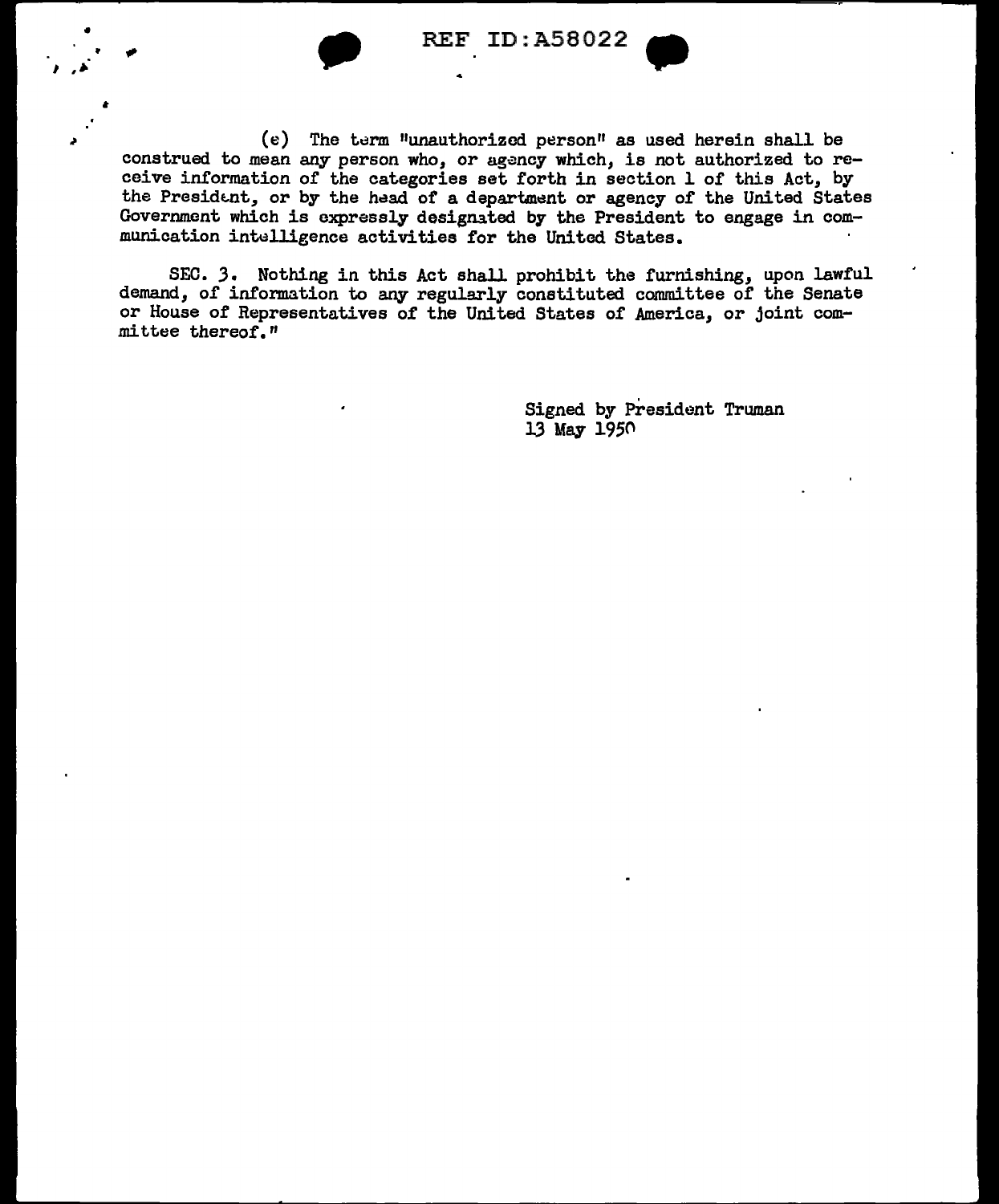

I .~·

• REF ID:A58022

 $(e)$  The term "unauthorized person" as used herein shall be construed to mean any person who, or agency which, is not authorized to receive information of the categories set forth in section l of this Act, by the President, or by the head of a department or agency of the United States Government which is expressly designated. by the President to engage in communication intelligence activities for the United States.

SEC. J. Nothing in this Act shall prohibit the furnishing, upon lawful demand, of information to any regularly constituted committee of the Senate or House of Representatives of the United States of America, or joint committee thereof."

> Signed by President Truman  $13$  May  $1950$